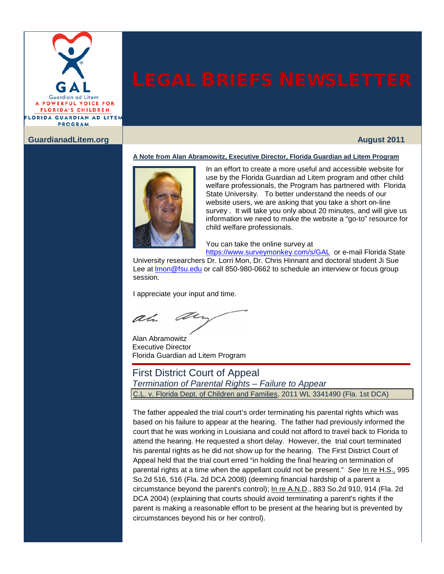

#### **GuardianadLitem.org August 2011**

#### **A Note from Alan Abramowitz, Executive Director, Florida Guardian ad Litem Program**



In an effort to create a more useful and accessible website for use by the Florida Guardian ad Litem program and other child welfare professionals, the Program has partnered with Florida State University. To better understand the needs of our website users, we are asking that you take a short on-line survey . It will take you only about 20 minutes, and will give us information we need to make the website a "go-to" resource for child welfare professionals.

You can take the online survey at

<https://www.surveymonkey.com/s/GAL> or e-mail Florida State

University researchers Dr. Lorri Mon, Dr. Chris Hinnant and doctoral student Ji Sue Lee at *Imon@fsu.edu or call 850-980-0662* to schedule an interview or focus group session.

I appreciate your input and time.

ar ah

Alan Abramowitz Executive Director Florida Guardian ad Litem Program

#### First District Court of Appeal

*Termination of Parental Rights – Failure to Appear*

C.L. v. Florida Dept. of Children and Families, 2011 WL 3341490 (Fla. 1st DCA)

The father appealed the trial court's order terminating his parental rights which was based on his failure to appear at the hearing. The father had previously informed the court that he was working in Louisiana and could not afford to travel back to Florida to attend the hearing. He requested a short delay. However, the trial court terminated his parental rights as he did not show up for the hearing. The First District Court of Appeal held that the trial court erred "in holding the final hearing on termination of parental rights at a time when the appellant could not be present." *See* [In re H.S.,](http://guardianadlitem.org/case_sums/termparent/termparent_re_hs.doc) 995 [So.2d 516, 516 \(Fla. 2d DCA 2008\)](http://guardianadlitem.org/case_sums/termparent/termparent_re_hs.doc) (deeming financial hardship of a parent a circumstance beyond the parent's control); [In re A.N.D., 883 So.2d 910, 914 \(Fla. 2d](http://guardianadlitem.org/case_sums/default_judge/defaultjudge_and_883.doc)  [DCA 2004\)](http://guardianadlitem.org/case_sums/default_judge/defaultjudge_and_883.doc) (explaining that courts should avoid terminating a parent's rights if the parent is making a reasonable effort to be present at the hearing but is prevented by circumstances beyond his or her control).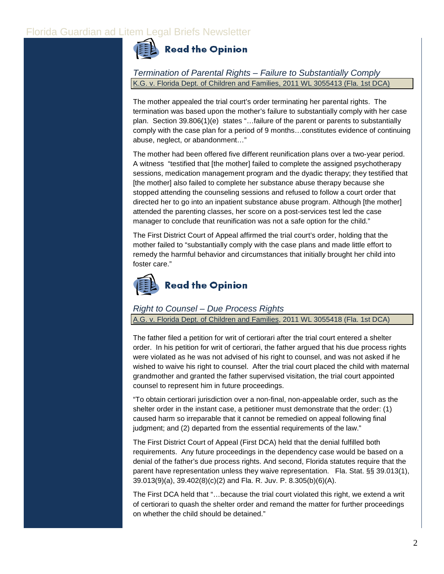

*Termination of Parental Rights – Failure to Substantially Comply* K.G. v. Florida Dept. of Children and Families, 2011 WL 3055413 (Fla. 1st DCA)

The mother appealed the trial court's order terminating her parental rights. The termination was based upon the mother's failure to substantially comply with her case plan. [Section 39.806\(1\)\(e\)](http://www.leg.state.fl.us/Statutes/index.cfm?App_mode=Display_Statute&Search_String=&URL=0000-0099/0039/Sections/0039.806.html) states "…failure of the parent or parents to substantially comply with the case plan for a period of 9 months…constitutes evidence of continuing abuse, neglect, or abandonment…"

The mother had been offered five different reunification plans over a two-year period. A witness "testified that [the mother] failed to complete the assigned psychotherapy sessions, medication management program and the dyadic therapy; they testified that [the mother] also failed to complete her substance abuse therapy because she stopped attending the counseling sessions and refused to follow a court order that directed her to go into an inpatient substance abuse program. Although [the mother] attended the parenting classes, her score on a post-services test led the case manager to conclude that reunification was not a safe option for the child."

The First District Court of Appeal affirmed the trial court's order, holding that the mother failed to "substantially comply with the case plans and made little effort to remedy the harmful behavior and circumstances that initially brought her child into foster care."



#### *Right to Counsel – Due Process Rights*

A.G. v. Florida Dept. of Children and Families, 2011 WL 3055418 (Fla. 1st DCA)

The father filed a petition for writ of certiorari after the trial court entered a shelter order. In his petition for writ of certiorari, the father argued that his due process rights were violated as he was not advised of his right to counsel, and was not asked if he wished to waive his right to counsel. After the trial court placed the child with maternal grandmother and granted the father supervised visitation, the trial court appointed counsel to represent him in future proceedings.

"To obtain certiorari jurisdiction over a non-final, non-appealable order, such as the shelter order in the instant case, a petitioner must demonstrate that the order: (1) caused harm so irreparable that it cannot be remedied on appeal following final judgment; and (2) departed from the essential requirements of the law."

The First District Court of Appeal (First DCA) held that the denial fulfilled both requirements. Any future proceedings in the dependency case would be based on a denial of the father's due process rights. And second, Florida statutes require that the parent have representation unless they waive representation. [Fla. Stat. §§ 39.013\(1\),](http://www.leg.state.fl.us/Statutes/index.cfm?App_mode=Display_Statute&Search_String=&URL=0000-0099/0039/Sections/0039.013.html)  [39.013\(9\)\(a\),](http://www.leg.state.fl.us/Statutes/index.cfm?App_mode=Display_Statute&Search_String=&URL=0000-0099/0039/Sections/0039.013.html) [39.402\(8\)\(c\)\(2\)](http://www.leg.state.fl.us/Statutes/index.cfm?App_mode=Display_Statute&Search_String=&URL=0000-0099/0039/Sections/0039.402.html) an[d Fla. R. Juv. P. 8.305\(b\)\(6\)\(A\).](http://www.floridabar.org/TFB/TFBResources.nsf/Attachments/E2AD7DEF01F6F90685256B29004BFA7E/$FILE/Juvenile.pdf?OpenElement) 

The First DCA held that "…because the trial court violated this right, we extend a writ of certiorari to quash the shelter order and remand the matter for further proceedings on whether the child should be detained."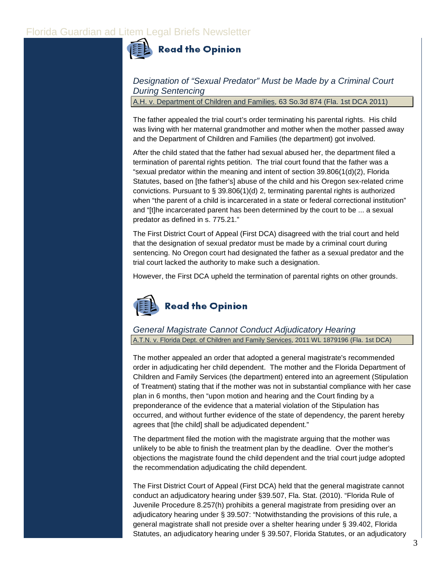

*Designation of "Sexual Predator" Must be Made by a Criminal Court During Sentencing*

A.H. v. Department of Children and Families, 63 So.3d 874 (Fla. 1st DCA 2011)

The father appealed the trial court's order terminating his parental rights. His child was living with her maternal grandmother and mother when the mother passed away and the Department of Children and Families (the department) got involved.

After the child stated that the father had sexual abused her, the department filed a termination of parental rights petition. The trial court found that the father was a "sexual predator within the meaning and intent o[f](http://www.leg.state.fl.us/Statutes/index.cfm?App_mode=Display_Statute&Search_String=&URL=0000-0099/0039/Sections/0039.806.html) [section 39.806](http://web2.westlaw.com/find/default.wl?tc=-1&docname=FLSTS39.806&rp=%2ffind%2fdefault.wl&sv=Split&rs=WLW11.07&db=1000006&tf=-1&findtype=L&fn=_top&mt=Westlaw&vr=2.0&pbc=1F01E931&ordoc=2025469544)[\(1\(d\)\(2\), Florida](http://www.leg.state.fl.us/Statutes/index.cfm?App_mode=Display_Statute&Search_String=&URL=0000-0099/0039/Sections/0039.806.html)  Statutes, based on [the father's] abuse of the child and his Oregon sex-related crime convictions. Pursuant t[o § 39.806\(1\)\(d\) 2,](http://www.leg.state.fl.us/Statutes/index.cfm?App_mode=Display_Statute&Search_String=&URL=0000-0099/0039/Sections/0039.806.html) terminating parental rights is authorized when "the parent of a child is incarcerated in a state or federal correctional institution" and "[t]he incarcerated parent has been determined by the court to be ... a sexual predator as defined i[n s. 775.21."](http://www.leg.state.fl.us/Statutes/index.cfm?App_mode=Display_Statute&Search_String=&URL=0700-0799/0775/Sections/0775.21.html) 

The First District Court of Appeal (First DCA) disagreed with the trial court and held that the designation of sexual predator must be made by a criminal court during sentencing. No Oregon court had designated the father as a sexual predator and the trial court lacked the authority to make such a designation.

However, the First DCA upheld the termination of parental rights on other grounds.



*General Magistrate Cannot Conduct Adjudicatory Hearing* A.T.N. v. Florida Dept. of Children and Family Services, 2011 WL 1879196 (Fla. 1st DCA)

The mother appealed an order that adopted a general magistrate's recommended order in adjudicating her child dependent. The mother and the Florida Department of Children and Family Services (the department) entered into an agreement (Stipulation of Treatment) stating that if the mother was not in substantial compliance with her case plan in 6 months, then "upon motion and hearing and the Court finding by a preponderance of the evidence that a material violation of the Stipulation has occurred, and without further evidence of the state of dependency, the parent hereby agrees that [the child] shall be adjudicated dependent."

The department filed the motion with the magistrate arguing that the mother was unlikely to be able to finish the treatment plan by the deadline. Over the mother's objections the magistrate found the child dependent and the trial court judge adopted the recommendation adjudicating the child dependent.

The First District Court of Appeal (First DCA) held that the general magistrate cannot conduct an adjudicatory hearing under [§39.507, Fla. Stat.](http://www.leg.state.fl.us/Statutes/index.cfm?App_mode=Display_Statute&Search_String=&URL=0000-0099/0039/Sections/0039.507.html) (2010). "[Florida Rule of](http://www.floridabar.org/TFB/TFBResources.nsf/Attachments/E2AD7DEF01F6F90685256B29004BFA7E/$FILE/Juvenile.pdf?OpenElement)  [Juvenile Procedure 8.257\(h\)](http://www.floridabar.org/TFB/TFBResources.nsf/Attachments/E2AD7DEF01F6F90685256B29004BFA7E/$FILE/Juvenile.pdf?OpenElement) prohibits a general magistrate from presiding over an adjudicatory hearing under § [39.507:](http://www.leg.state.fl.us/Statutes/index.cfm?App_mode=Display_Statute&Search_String=&URL=0000-0099/0039/Sections/0039.507.html) "Notwithstanding the provisions of this rule, a general magistrate shall not preside over a shelter hearing under § [39.402, Florida](http://www.leg.state.fl.us/Statutes/index.cfm?App_mode=Display_Statute&Search_String=&URL=0000-0099/0039/Sections/0039.402.html)  [Statutes](http://www.leg.state.fl.us/Statutes/index.cfm?App_mode=Display_Statute&Search_String=&URL=0000-0099/0039/Sections/0039.402.html), an adjudicatory hearing under § [39.507,](http://www.leg.state.fl.us/Statutes/index.cfm?App_mode=Display_Statute&Search_String=&URL=0000-0099/0039/Sections/0039.507.html) Florida Statutes, or an adjudicatory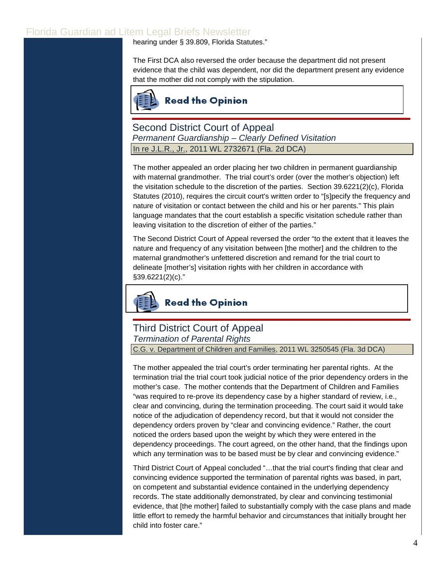hearing under § [39.809, Florida Statutes."](http://www.leg.state.fl.us/Statutes/index.cfm?App_mode=Display_Statute&Search_String=&URL=0000-0099/0039/Sections/0039.809.html)

The First DCA also reversed the order because the department did not present evidence that the child was dependent, nor did the department present any evidence that the mother did not comply with the stipulation.



Second District Court of Appeal *Permanent Guardianship – Clearly Defined Visitation* In re J.L.R., Jr., 2011 WL 2732671 (Fla. 2d DCA)

The mother appealed an order placing her two children in permanent guardianship with maternal grandmother. The trial court's order (over the mother's objection) left the visitation schedule to the discretion of the parties.[Section 39.6221\(2\)\(c\), Florida](http://web2.westlaw.com/find/default.wl?tc=-1&docname=FLSTS39.6221&rp=%2ffind%2fdefault.wl&sv=Split&rs=WLW11.07&db=1000006&tf=-1&findtype=L&fn=_top&mt=Westlaw&vr=2.0&pbc=880AAEDF&ordoc=2025665947)  [Statutes \(2010\)](http://web2.westlaw.com/find/default.wl?tc=-1&docname=FLSTS39.6221&rp=%2ffind%2fdefault.wl&sv=Split&rs=WLW11.07&db=1000006&tf=-1&findtype=L&fn=_top&mt=Westlaw&vr=2.0&pbc=880AAEDF&ordoc=2025665947)[,](http://www.leg.state.fl.us/Statutes/index.cfm?App_mode=Display_Statute&Search_String=&URL=0000-0099/0039/Sections/0039.6221.html) requires the circuit court's written order to "[s]pecify the frequency and nature of visitation or contact between the child and his or her parents." This plain language mandates that the court establish a specific visitation schedule rather than leaving visitation to the discretion of either of the parties."

The Second District Court of Appeal reversed the order "to the extent that it leaves the nature and frequency of any visitation between [the mother] and the children to the maternal grandmother's unfettered discretion and remand for the trial court to delineate [mother's] visitation rights with her children in accordance with [§39.6221\(2\)\(c\)."](http://www.leg.state.fl.us/Statutes/index.cfm?App_mode=Display_Statute&Search_String=&URL=0000-0099/0039/Sections/0039.6221.html)



Third District Court of Appeal *Termination of Parental Rights*

C.G. v. Department of Children and Families, 2011 WL 3250545 (Fla. 3d DCA)

The mother appealed the trial court's order terminating her parental rights. At the termination trial the trial court took judicial notice of the prior dependency orders in the mother's case. The mother contends that the Department of Children and Families "was required to re-prove its dependency case by a higher standard of review, i.e., clear and convincing, during the termination proceeding. The court said it would take notice of the adjudication of dependency record, but that it would not consider the dependency orders proven by "clear and convincing evidence." Rather, the court noticed the orders based upon the weight by which they were entered in the dependency proceedings. The court agreed, on the other hand, that the findings upon which any termination was to be based must be by clear and convincing evidence."

Third District Court of Appeal concluded "…that the trial court's finding that clear and convincing evidence supported the termination of parental rights was based, in part, on competent and substantial evidence contained in the underlying dependency records. The state additionally demonstrated, by clear and convincing testimonial evidence, that [the mother] failed to substantially comply with the case plans and made little effort to remedy the harmful behavior and circumstances that initially brought her child into foster care."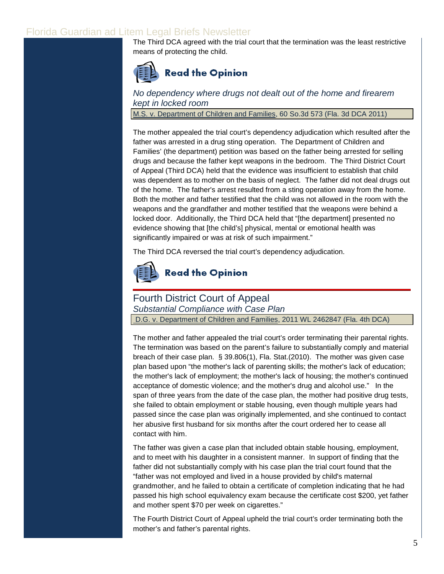The Third DCA agreed with the trial court that the termination was the least restrictive [means of protecting the child.](http://www.3dca.flcourts.org/opinions/3D11-0661.pdf) 



## **Read the Opinion**

*No dependency where drugs not dealt out of the home and firearem kept in locked room*

M.S. v. Department of Children and Families, 60 So.3d 573 (Fla. 3d DCA 2011)

The mother appealed the trial court's dependency adjudication which resulted after the father was arrested in a drug sting operation. The Department of Children and Families' (the department) petition was based on the father being arrested for selling drugs and because the father kept weapons in the bedroom. The Third District Court of Appeal (Third DCA) held that the evidence was insufficient to establish that child was dependent as to mother on the basis of neglect. The father did not deal drugs out of the home. The father's arrest resulted from a sting operation away from the home. Both the mother and father testified that the child was not allowed in the room with the weapons and the grandfather and mother testified that the weapons were behind a locked door. Additionally, the Third DCA held that "[the department] presented no evidence showing that [the child's] physical, mental or emotional health was significantly impaired or was at risk of such impairment."

The Third DCA reversed the trial court's dependency adjudication.



## Fourth District Court of Appeal

*Substantial Compliance with Case Plan*

D.G. v. Department of Children and Families, 2011 WL 2462847 (Fla. 4th DCA)

The mother and father appealed the trial court's order terminating their parental rights. The termination was based on the parent's failure to substantially comply and material breach of their case plan. § [39.806\(1\), Fla. Stat.\(2010\).](http://www.leg.state.fl.us/Statutes/index.cfm?App_mode=Display_Statute&Search_String=&URL=0000-0099/0039/Sections/0039.806.html) The mother was given case plan based upon "the mother's lack of parenting skills; the mother's lack of education; the mother's lack of employment; the mother's lack of housing; the mother's continued acceptance of domestic violence; and the mother's drug and alcohol use." In the span of three years from the date of the case plan, the mother had positive drug tests, she failed to obtain employment or stable housing, even though multiple years had passed since the case plan was originally implemented, and she continued to contact her abusive first husband for six months after the court ordered her to cease all contact with him.

The father was given a case plan that included obtain stable housing, employment, and to meet with his daughter in a consistent manner. In support of finding that the father did not substantially comply with his case plan the trial court found that the "father was not employed and lived in a house provided by child's maternal grandmother, and he failed to obtain a certificate of completion indicating that he had passed his high school equivalency exam because the certificate cost \$200, yet father and mother spent \$70 per week on cigarettes."

The Fourth District Court of Appeal upheld the trial court's order terminating both the mother's and father's parental rights.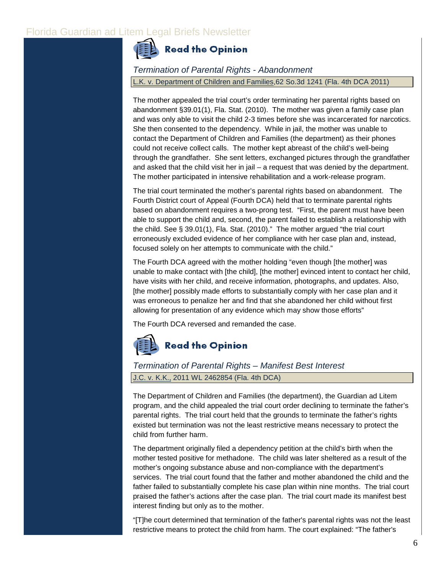**Read the Opinion** 

# *Termination of Parental Rights - Abandonment*

L.K. v. Department of Children and Families,62 So.3d 1241 (Fla. 4th DCA 2011)

The mother appealed the trial court's order terminating her parental rights based on abandonment [§39.01\(1\), Fla. Stat. \(2010\).](http://www.leg.state.fl.us/Statutes/index.cfm?App_mode=Display_Statute&Search_String=&URL=0000-0099/0039/Sections/0039.01.html) The mother was given a family case plan and was only able to visit the child 2-3 times before she was incarcerated for narcotics. She then consented to the dependency. While in jail, the mother was unable to contact the Department of Children and Families (the department) as their phones could not receive collect calls. The mother kept abreast of the child's well-being through the grandfather. She sent letters, exchanged pictures through the grandfather and asked that the child visit her in jail – a request that was denied by the department. The mother participated in intensive rehabilitation and a work-release program.

The trial court terminated the mother's parental rights based on abandonment. The Fourth District court of Appeal (Fourth DCA) held that to terminate parental rights based on abandonment requires a two-prong test. "First, the parent must have been able to support the child and, second, the parent failed to establish a relationship with the child. See [§ 39.01\(1\), Fla. Stat. \(2010\)."](http://www.leg.state.fl.us/Statutes/index.cfm?App_mode=Display_Statute&Search_String=&URL=0000-0099/0039/Sections/0039.01.html) The mother argued "the trial court erroneously excluded evidence of her compliance with her case plan and, instead, focused solely on her attempts to communicate with the child."

The Fourth DCA agreed with the mother holding "even though [the mother] was unable to make contact with [the child], [the mother] evinced intent to contact her child, have visits with her child, and receive information, photographs, and updates. Also, [the mother] possibly made efforts to substantially comply with her case plan and it was erroneous to penalize her and find that she abandoned her child without first allowing for presentation of any evidence which may show those efforts"

The Fourth DCA reversed and remanded the case.



#### *Termination of Parental Rights – Manifest Best Interest* J.C. v. K.K., 2011 WL 2462854 (Fla. 4th DCA)

The Department of Children and Families (the department), the Guardian ad Litem program, and the child appealed the trial court order declining to terminate the father's parental rights. The trial court held that the grounds to terminate the father's rights existed but termination was not the least restrictive means necessary to protect the child from further harm.

The department originally filed a dependency petition at the child's birth when the mother tested positive for methadone. The child was later sheltered as a result of the mother's ongoing substance abuse and non-compliance with the department's services. The trial court found that the father and mother abandoned the child and the father failed to substantially complete his case plan within nine months. The trial court praised the father's actions after the case plan. The trial court made its manifest best interest finding but only as to the mother.

"[T]he court determined that termination of the father's parental rights was not the least restrictive means to protect the child from harm. The court explained: "The father's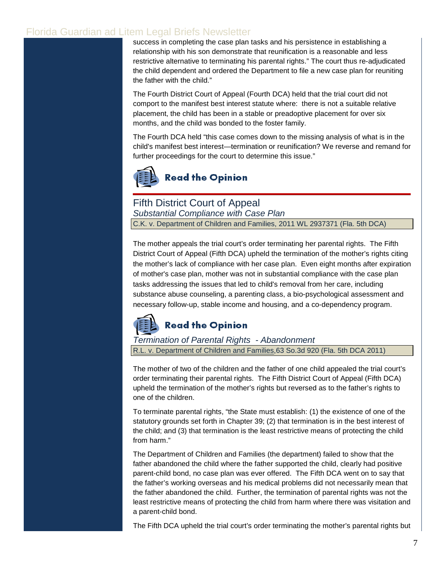success in completing the case plan tasks and his persistence in establishing a relationship with his son demonstrate that reunification is a reasonable and less restrictive alternative to terminating his parental rights." The court thus re-adjudicated the child dependent and ordered the Department to file a new case plan for reuniting the father with the child."

The Fourth District Court of Appeal (Fourth DCA) held that the trial court did not comport to the manifest best interest statute where: there is not a suitable relative placement, the child has been in a stable or preadoptive placement for over six months, and the child was bonded to the foster family.

The Fourth DCA held "this case comes down to the missing analysis of what is in the child's manifest best interest—termination or reunification? We reverse and remand for further proceedings for the court to determine this issue."



Fifth District Court of Appeal

*Substantial Compliance with Case Plan* C.K. v. Department of Children and Families, 2011 WL 2937371 (Fla. 5th DCA)

The mother appeals the trial court's order terminating her parental rights. The Fifth District Court of Appeal (Fifth DCA) upheld the termination of the mother's rights citing the mother's lack of compliance with her case plan. Even eight months after expiration of mother's case plan, mother was not in substantial compliance with the case plan tasks addressing the issues that led to child's removal from her care, including substance abuse counseling, a parenting class, a bio-psychological assessment and necessary follow-up, stable income and housing, and a co-dependency program.



*Termination of Parental Rights - Abandonment*

R.L. v. Department of Children and Families,63 So.3d 920 (Fla. 5th DCA 2011)

The mother of two of the children and the father of one child appealed the trial court's order terminating their parental rights. The Fifth District Court of Appeal (Fifth DCA) upheld the termination of the mother's rights but reversed as to the father's rights to one of the children.

To terminate parental rights, "the State must establish: (1) the existence of one of the statutory grounds set forth in Chapter 39; (2) that termination is in the best interest of the child; and (3) that termination is the least restrictive means of protecting the child from harm."

The Department of Children and Families (the department) failed to show that the father abandoned the child where the father supported the child, clearly had positive parent-child bond, no case plan was ever offered. The Fifth DCA went on to say that the father's working overseas and his medical problems did not necessarily mean that the father abandoned the child. Further, the termination of parental rights was not the least restrictive means of protecting the child from harm where there was visitation and a parent-child bond.

The Fifth DCA upheld the trial court's order terminating the mother's parental rights but